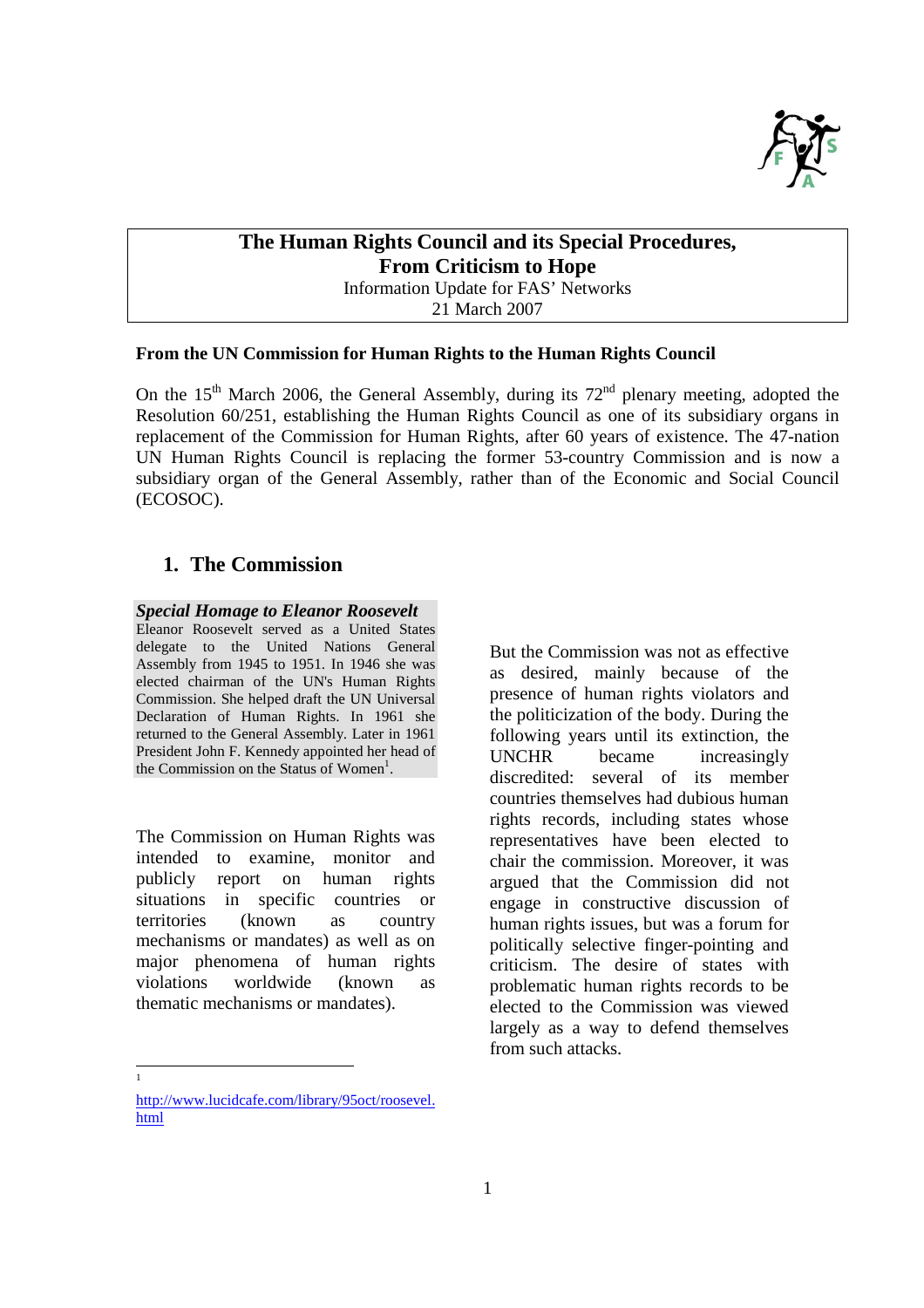

# **The Human Rights Council and its Special Procedures, From Criticism to Hope**

Information Update for FAS' Networks

21 March 2007

#### **From the UN Commission for Human Rights to the Human Rights Council**

On the 15<sup>th</sup> March 2006, the General Assembly, during its  $72<sup>nd</sup>$  plenary meeting, adopted the Resolution 60/251, establishing the Human Rights Council as one of its subsidiary organs in replacement of the Commission for Human Rights, after 60 years of existence. The 47-nation UN Human Rights Council is replacing the former 53-country Commission and is now a subsidiary organ of the General Assembly, rather than of the Economic and Social Council (ECOSOC).

## **1. The Commission**

### *Special Homage to Eleanor Roosevelt*

Eleanor Roosevelt served as a United States delegate to the United Nations General Assembly from 1945 to 1951. In 1946 she was elected chairman of the UN's Human Rights Commission. She helped draft the UN Universal Declaration of Human Rights. In 1961 she returned to the General Assembly. Later in 1961 President John F. Kennedy appointed her head of the Commission on the Status of Women<sup>1</sup>.

The Commission on Human Rights was intended to examine, monitor and publicly report on human rights situations in specific countries or territories (known as country mechanisms or mandates) as well as on major phenomena of human rights violations worldwide (known as thematic mechanisms or mandates).

But the Commission was not as effective as desired, mainly because of the presence of human rights violators and the politicization of the body. During the following years until its extinction, the UNCHR became increasingly discredited: several of its member countries themselves had dubious human rights records, including states whose representatives have been elected to chair the commission. Moreover, it was argued that the Commission did not engage in constructive discussion of human rights issues, but was a forum for politically selective finger-pointing and criticism. The desire of states with problematic human rights records to be elected to the Commission was viewed largely as a way to defend themselves from such attacks.

 $\frac{1}{1}$ 

http://www.lucidcafe.com/library/95oct/roosevel. html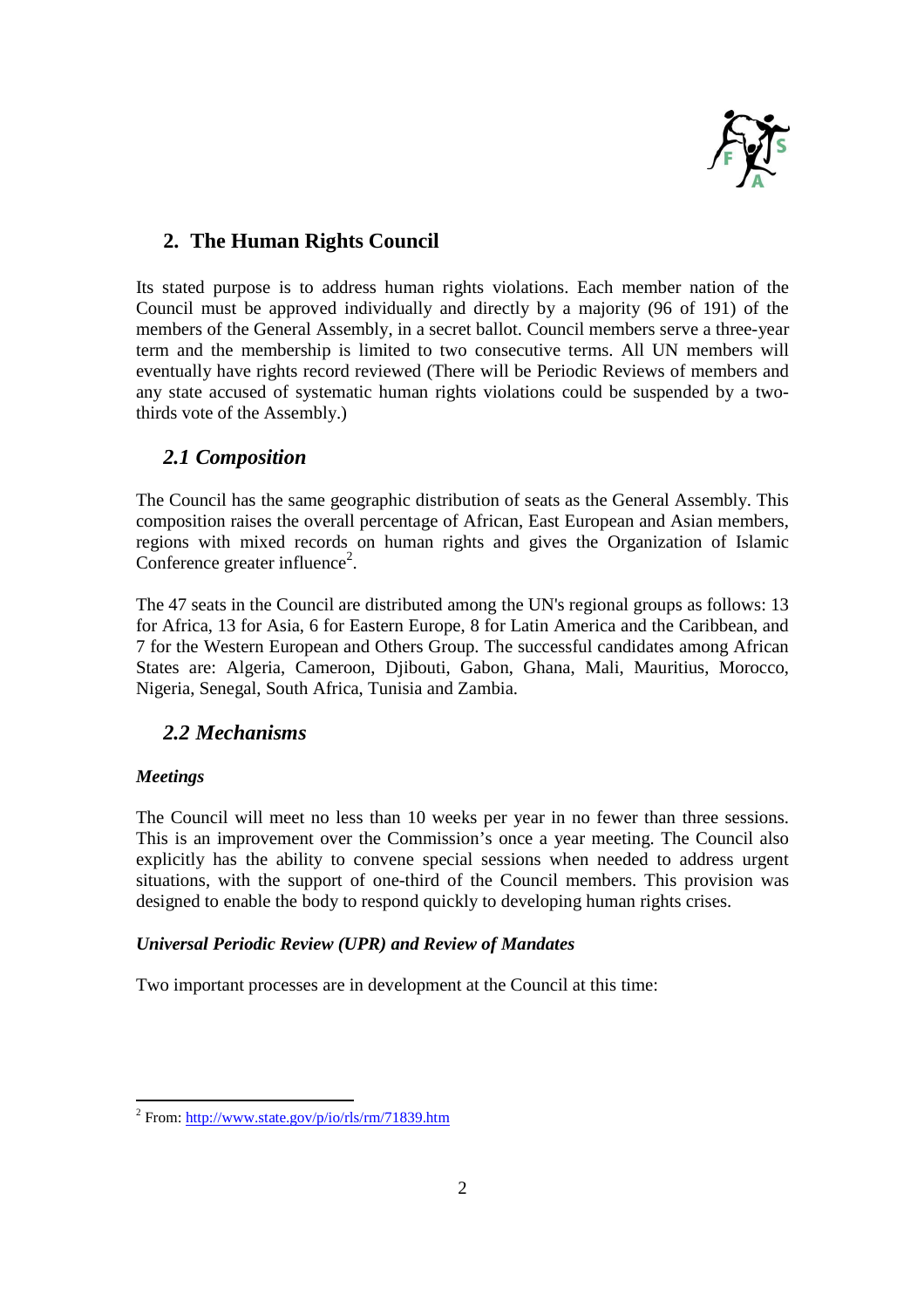

# **2. The Human Rights Council**

Its stated purpose is to address human rights violations. Each member nation of the Council must be approved individually and directly by a majority (96 of 191) of the members of the General Assembly, in a secret ballot. Council members serve a three-year term and the membership is limited to two consecutive terms. All UN members will eventually have rights record reviewed (There will be Periodic Reviews of members and any state accused of systematic human rights violations could be suspended by a twothirds vote of the Assembly.)

## *2.1 Composition*

The Council has the same geographic distribution of seats as the General Assembly. This composition raises the overall percentage of African, East European and Asian members, regions with mixed records on human rights and gives the Organization of Islamic Conference greater influence<sup>2</sup>.

The 47 seats in the Council are distributed among the UN's regional groups as follows: 13 for Africa, 13 for Asia, 6 for Eastern Europe, 8 for Latin America and the Caribbean, and 7 for the Western European and Others Group. The successful candidates among African States are: Algeria, Cameroon, Djibouti, Gabon, Ghana, Mali, Mauritius, Morocco, Nigeria, Senegal, South Africa, Tunisia and Zambia.

# *2.2 Mechanisms*

## *Meetings*

The Council will meet no less than 10 weeks per year in no fewer than three sessions. This is an improvement over the Commission's once a year meeting. The Council also explicitly has the ability to convene special sessions when needed to address urgent situations, with the support of one-third of the Council members. This provision was designed to enable the body to respond quickly to developing human rights crises.

## *Universal Periodic Review (UPR) and Review of Mandates*

Two important processes are in development at the Council at this time:

<sup>&</sup>lt;u>2</u><br><sup>2</sup> From: <u>http://www.state.gov/p/io/rls/rm/71839.htm</u>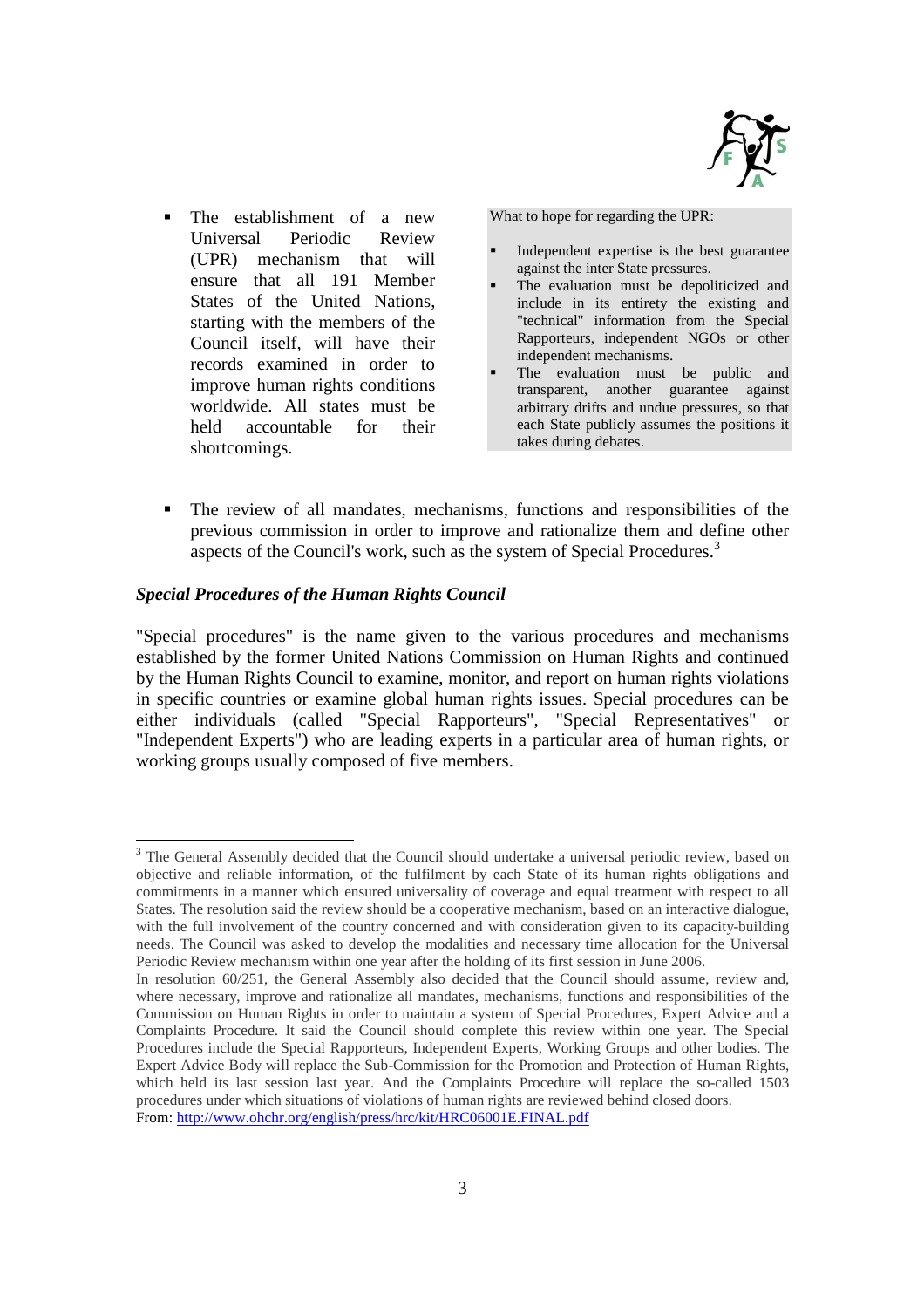

The establishment of a new Universal Periodic Review (UPR) mechanism that will ensure that all 191 Member States of the United Nations, starting with the members of the Council itself, will have their records examined in order to improve human rights conditions worldwide. All states must be held accountable for their shortcomings.

What to hope for regarding the UPR:

- Independent expertise is the best guarantee against the inter State pressures.
- The evaluation must be depoliticized and include in its entirety the existing and "technical" information from the Special Rapporteurs, independent NGOs or other independent mechanisms.
- The evaluation must be public and transparent, another guarantee against arbitrary drifts and undue pressures, so that each State publicly assumes the positions it takes during debates.
- The review of all mandates, mechanisms, functions and responsibilities of the previous commission in order to improve and rationalize them and define other aspects of the Council's work, such as the system of Special Procedures.<sup>3</sup>

#### *Special Procedures of the Human Rights Council*

"Special procedures" is the name given to the various procedures and mechanisms established by the former United Nations Commission on Human Rights and continued by the Human Rights Council to examine, monitor, and report on human rights violations in specific countries or examine global human rights issues. Special procedures can be either individuals (called "Special Rapporteurs", "Special Representatives" or "Independent Experts") who are leading experts in a particular area of human rights, or working groups usually composed of five members.

<sup>-</sup><sup>3</sup> The General Assembly decided that the Council should undertake a universal periodic review, based on objective and reliable information, of the fulfilment by each State of its human rights obligations and commitments in a manner which ensured universality of coverage and equal treatment with respect to all States. The resolution said the review should be a cooperative mechanism, based on an interactive dialogue, with the full involvement of the country concerned and with consideration given to its capacity-building needs. The Council was asked to develop the modalities and necessary time allocation for the Universal Periodic Review mechanism within one year after the holding of its first session in June 2006.

In resolution 60/251, the General Assembly also decided that the Council should assume, review and, where necessary, improve and rationalize all mandates, mechanisms, functions and responsibilities of the Commission on Human Rights in order to maintain a system of Special Procedures, Expert Advice and a Complaints Procedure. It said the Council should complete this review within one year. The Special Procedures include the Special Rapporteurs, Independent Experts, Working Groups and other bodies. The Expert Advice Body will replace the Sub-Commission for the Promotion and Protection of Human Rights, which held its last session last year. And the Complaints Procedure will replace the so-called 1503 procedures under which situations of violations of human rights are reviewed behind closed doors. From: http://www.ohchr.org/english/press/hrc/kit/HRC06001E.FINAL.pdf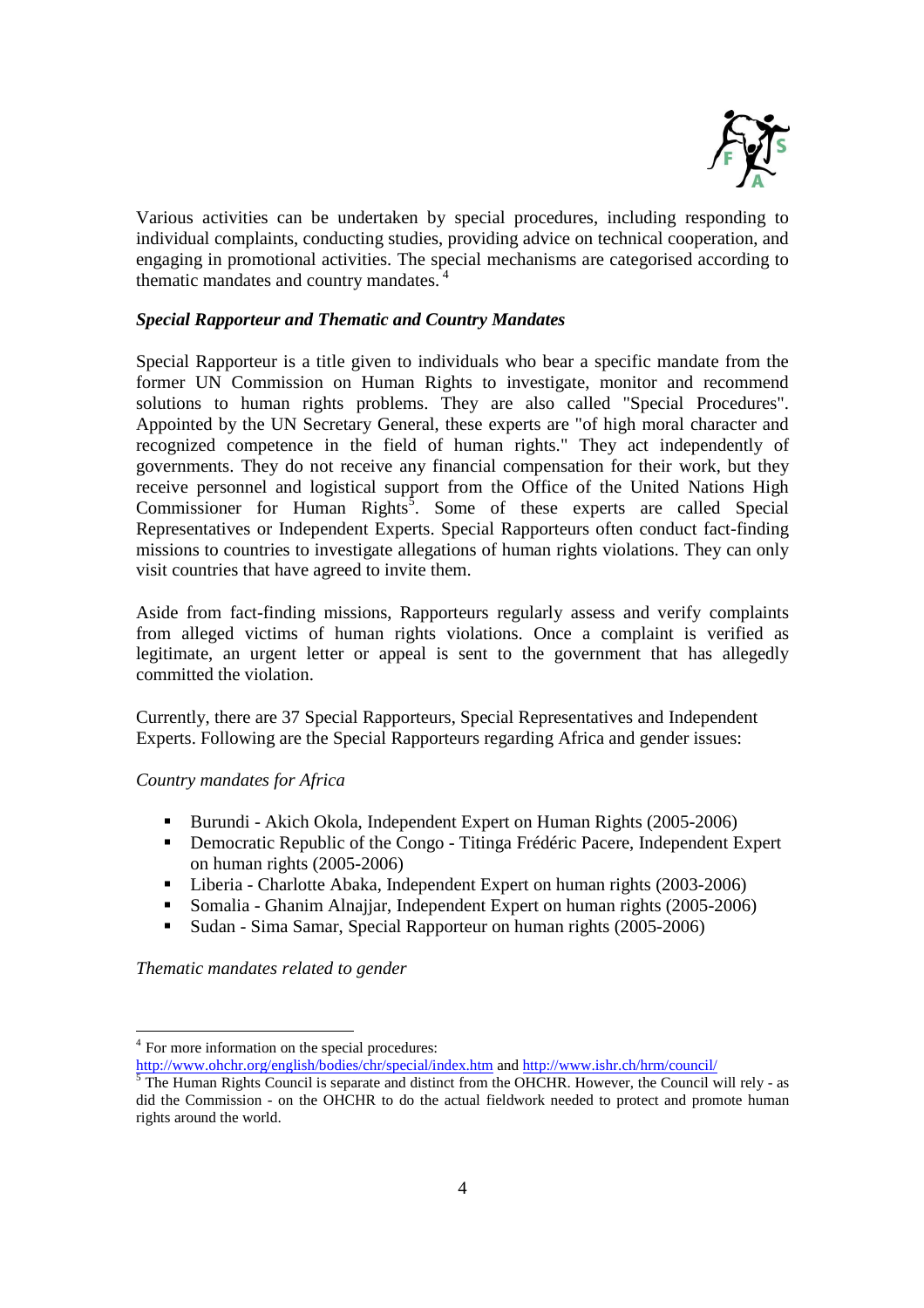

Various activities can be undertaken by special procedures, including responding to individual complaints, conducting studies, providing advice on technical cooperation, and engaging in promotional activities. The special mechanisms are categorised according to thematic mandates and country mandates.<sup>4</sup>

### *Special Rapporteur and Thematic and Country Mandates*

Special Rapporteur is a title given to individuals who bear a specific mandate from the former UN Commission on Human Rights to investigate, monitor and recommend solutions to human rights problems. They are also called "Special Procedures". Appointed by the UN Secretary General, these experts are "of high moral character and recognized competence in the field of human rights." They act independently of governments. They do not receive any financial compensation for their work, but they receive personnel and logistical support from the Office of the United Nations High Commissioner for Human Rights<sup>5</sup>. Some of these experts are called Special Representatives or Independent Experts. Special Rapporteurs often conduct fact-finding missions to countries to investigate allegations of human rights violations. They can only visit countries that have agreed to invite them.

Aside from fact-finding missions, Rapporteurs regularly assess and verify complaints from alleged victims of human rights violations. Once a complaint is verified as legitimate, an urgent letter or appeal is sent to the government that has allegedly committed the violation.

Currently, there are 37 Special Rapporteurs, Special Representatives and Independent Experts. Following are the Special Rapporteurs regarding Africa and gender issues:

#### *Country mandates for Africa*

- Burundi Akich Okola, Independent Expert on Human Rights (2005-2006)
- Democratic Republic of the Congo Titinga Frédéric Pacere, Independent Expert on human rights (2005-2006)
- Liberia Charlotte Abaka, Independent Expert on human rights (2003-2006)
- Somalia Ghanim Alnajjar, Independent Expert on human rights (2005-2006)
- Sudan Sima Samar, Special Rapporteur on human rights (2005-2006)

*Thematic mandates related to gender* 

<sup>-</sup><sup>4</sup> For more information on the special procedures: For more information on the special procedures:

http://www.ohchr.org/english/bodies/chr/special/index.htm and http://www.ishr.ch/hrm/council/<br><sup>5</sup> The Human Pickts Council is separate and distinct from the OHCHP, However, the Council v

The Human Rights Council is separate and distinct from the OHCHR. However, the Council will rely - as did the Commission - on the OHCHR to do the actual fieldwork needed to protect and promote human rights around the world.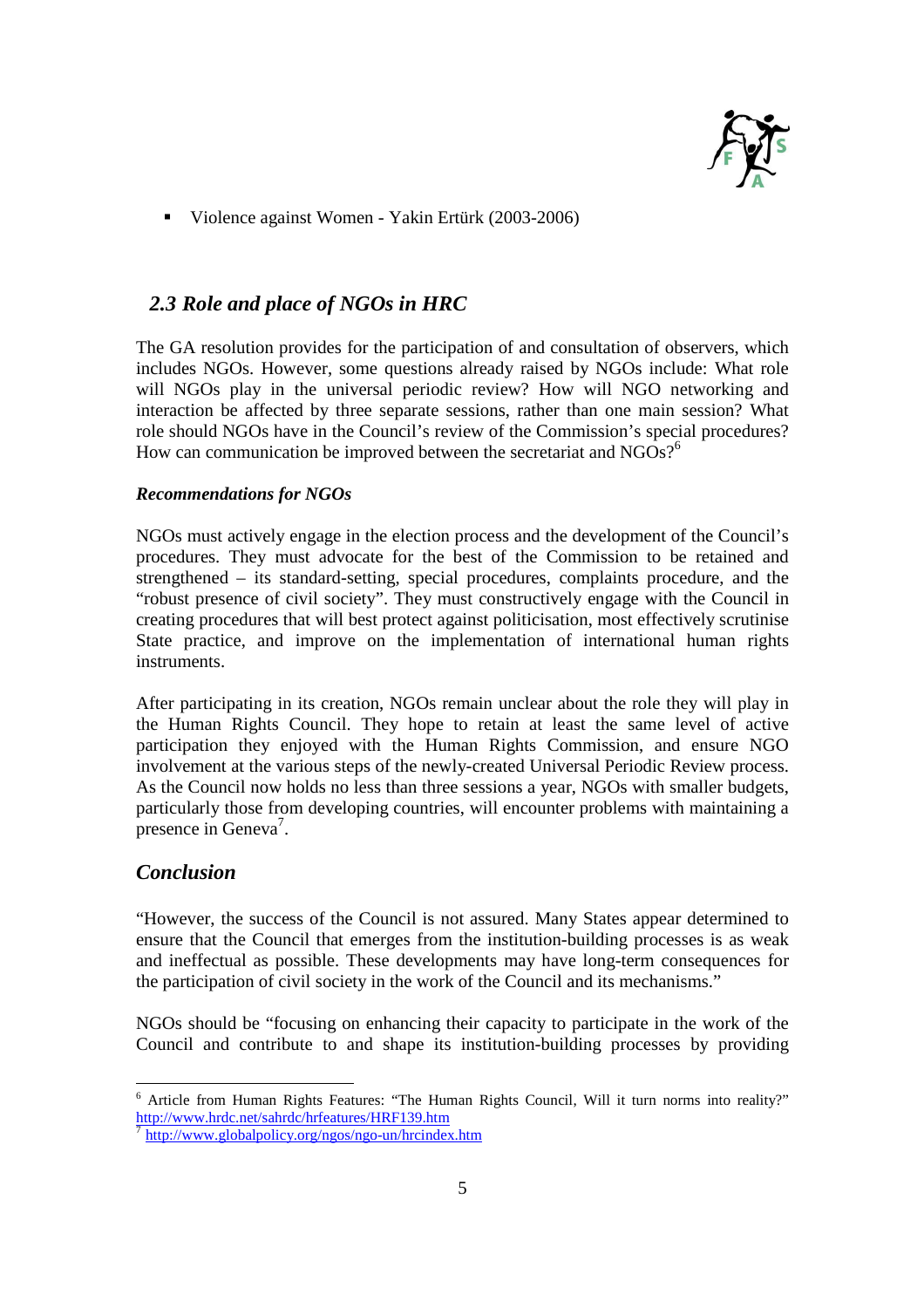

Violence against Women - Yakin Ertürk (2003-2006)

## *2.3 Role and place of NGOs in HRC*

The GA resolution provides for the participation of and consultation of observers, which includes NGOs. However, some questions already raised by NGOs include: What role will NGOs play in the universal periodic review? How will NGO networking and interaction be affected by three separate sessions, rather than one main session? What role should NGOs have in the Council's review of the Commission's special procedures? How can communication be improved between the secretariat and  $NGOs?^6$ 

### *Recommendations for NGOs*

NGOs must actively engage in the election process and the development of the Council's procedures. They must advocate for the best of the Commission to be retained and strengthened – its standard-setting, special procedures, complaints procedure, and the "robust presence of civil society". They must constructively engage with the Council in creating procedures that will best protect against politicisation, most effectively scrutinise State practice, and improve on the implementation of international human rights instruments.

After participating in its creation, NGOs remain unclear about the role they will play in the Human Rights Council. They hope to retain at least the same level of active participation they enjoyed with the Human Rights Commission, and ensure NGO involvement at the various steps of the newly-created Universal Periodic Review process. As the Council now holds no less than three sessions a year, NGOs with smaller budgets, particularly those from developing countries, will encounter problems with maintaining a presence in Geneva<sup>7</sup>.

## *Conclusion*

"However, the success of the Council is not assured. Many States appear determined to ensure that the Council that emerges from the institution-building processes is as weak and ineffectual as possible. These developments may have long-term consequences for the participation of civil society in the work of the Council and its mechanisms."

NGOs should be "focusing on enhancing their capacity to participate in the work of the Council and contribute to and shape its institution-building processes by providing

The Article from Human Rights Features: "The Human Rights Council, Will it turn norms into reality?" http://www.hrdc.net/sahrdc/hrfeatures/HRF139.htm

<sup>7</sup> http://www.globalpolicy.org/ngos/ngo-un/hrcindex.htm